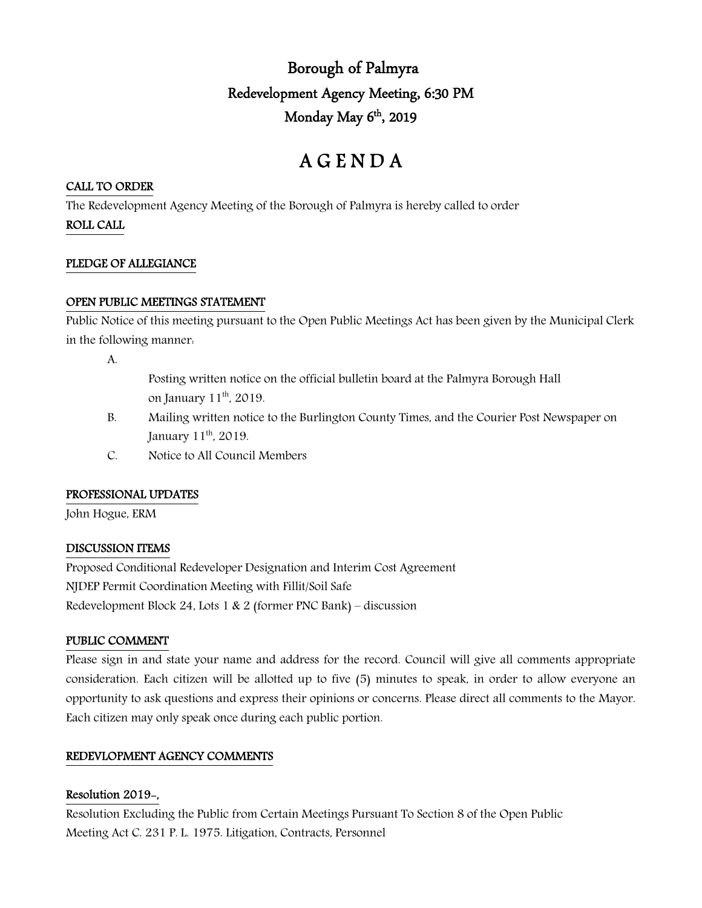## Borough of Palmyra Redevelopment Agency Meeting, 6:30 PM Monday May  $6<sup>th</sup>$ , 2019

# A G E N D A

## CALL TO ORDER

The Redevelopment Agency Meeting of the Borough of Palmyra is hereby called to order

ROLL CALL

#### PLEDGE OF ALLEGIANCE

## OPEN PUBLIC MEETINGS STATEMENT

Public Notice of this meeting pursuant to the Open Public Meetings Act has been given by the Municipal Clerk in the following manner:

A.

- Posting written notice on the official bulletin board at the Palmyra Borough Hall on January 11<sup>th</sup>, 2019.
- B. Mailing written notice to the Burlington County Times, and the Courier Post Newspaper on January 11<sup>th</sup>, 2019.
- C. Notice to All Council Members

## PROFESSIONAL UPDATES

John Hogue, ERM

## DISCUSSION ITEMS

Proposed Conditional Redeveloper Designation and Interim Cost Agreement NJDEP Permit Coordination Meeting with Fillit/Soil Safe Redevelopment Block 24, Lots 1 & 2 (former PNC Bank) – discussion

## PUBLIC COMMENT

Please sign in and state your name and address for the record. Council will give all comments appropriate consideration. Each citizen will be allotted up to five (5) minutes to speak, in order to allow everyone an opportunity to ask questions and express their opinions or concerns. Please direct all comments to the Mayor. Each citizen may only speak once during each public portion.

## REDEVLOPMENT AGENCY COMMENTS

## Resolution 2019-,

Resolution Excluding the Public from Certain Meetings Pursuant To Section 8 of the Open Public Meeting Act C. 231 P. L. 1975. Litigation, Contracts, Personnel